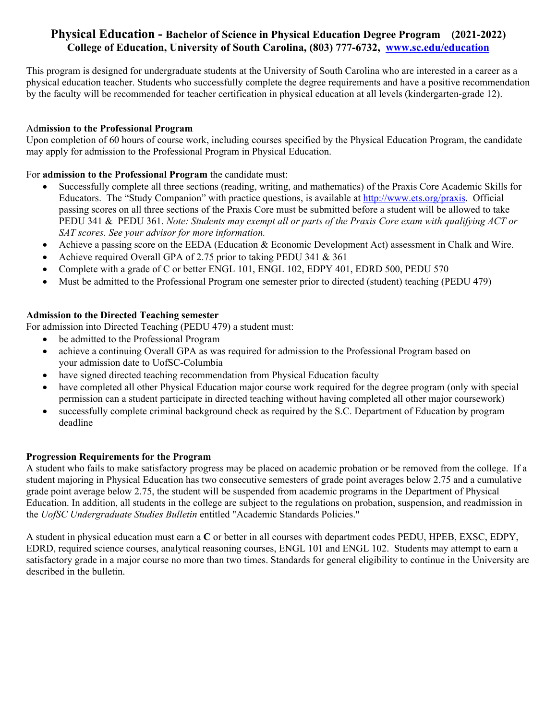## **Physical Education - Bachelor of Science in Physical Education Degree Program (2021-2022) College of Education, University of South Carolina, (803) 777-6732, <www.sc.edu/education>**

This program is designed for undergraduate students at the University of South Carolina who are interested in a career as a physical education teacher. Students who successfully complete the degree requirements and have a positive recommendation by the faculty will be recommended for teacher certification in physical education at all levels (kindergarten-grade 12).

### Ad**mission to the Professional Program**

Upon completion of 60 hours of course work, including courses specified by the Physical Education Program, the candidate may apply for admission to the Professional Program in Physical Education.

#### For **admission to the Professional Program** the candidate must:

- Successfully complete all three sections (reading, writing, and mathematics) of the Praxis Core Academic Skills for Educators. The "Study Companion" with practice questions, is available at [http://www.ets.org/praxis.](http://www.ets.org/praxis) Official passing scores on all three sections of the Praxis Core must be submitted before a student will be allowed to take PEDU 341 & PEDU 361. *Note: Students may exempt all or parts of the Praxis Core exam with qualifying ACT or SAT scores. See your advisor for more information.*
- Achieve a passing score on the EEDA (Education & Economic Development Act) assessment in Chalk and Wire.
- Achieve required Overall GPA of 2.75 prior to taking PEDU 341  $& 361$
- Complete with a grade of C or better ENGL 101, ENGL 102, EDPY 401, EDRD 500, PEDU 570
- Must be admitted to the Professional Program one semester prior to directed (student) teaching (PEDU 479)

## **Admission to the Directed Teaching semester**

For admission into Directed Teaching (PEDU 479) a student must:

- be admitted to the Professional Program
- achieve a continuing Overall GPA as was required for admission to the Professional Program based on your admission date to UofSC-Columbia
- have signed directed teaching recommendation from Physical Education faculty
- have completed all other Physical Education major course work required for the degree program (only with special permission can a student participate in directed teaching without having completed all other major coursework)
- successfully complete criminal background check as required by the S.C. Department of Education by program deadline

## **Progression Requirements for the Program**

the UofSC Undergraduate Studies Bulletin entitled "Academic Standards Policies." A student who fails to make satisfactory progress may be placed on academic probation or be removed from the college. If a student majoring in Physical Education has two consecutive semesters of grade point averages below 2.75 and a cumulative grade point average below 2.75, the student will be suspended from academic programs in the Department of Physical Education. In addition, all students in the college are subject to the regulations on probation, suspension, and readmission in

A student in physical education must earn a C or better in all courses with department codes PEDU, HPEB, EXSC, EDPY, EDRD, required science courses, analytical reasoning courses, ENGL 101 and ENGL 102. Students may attempt to earn a satisfactory grade in a major course no more than two times. Standards for general eligibility to continue in the University are described in the bulletin.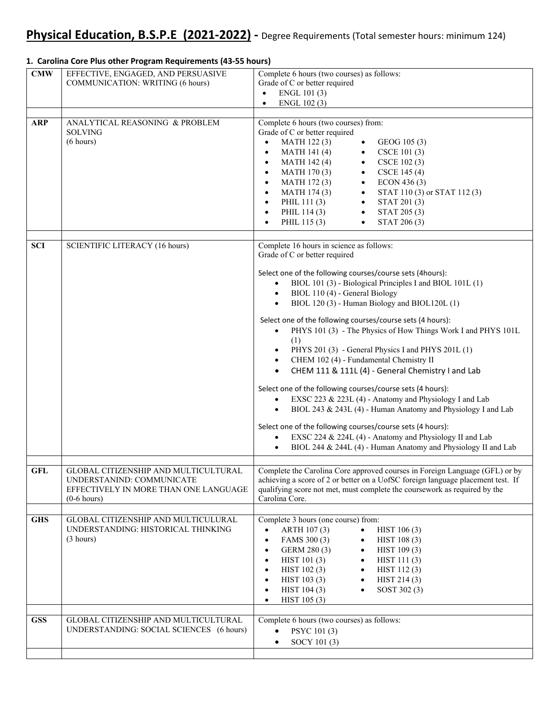#### $\bullet$  ENGL 101(3) Select one of the following courses/course sets (4hours): Select one of the following courses/course sets (4 hours): ● CHEM 111 & 111L (4) - General Chemistry I and Lab Select one of the following courses/course sets (4 hours): Select one of the following courses/course sets (4 hours): **CMW** EFFECTIVE, ENGAGED, AND PERSUASIVE COMMUNICATION: WRITING (6 hours) Complete 6 hours (two courses) as follows: Grade of C or better required  $\bullet$  ENGL 102(3) ARP ANALYTICAL REASONING & PROBLEM SOLVING (6 hours) Complete 6 hours (two courses) from: Grade of C or better required MATH 122(3) • GEOG 105(3) MATH 141 (4) • CSCE 101 (3) • MATH 142 (4) • CSCE 102 (3) MATH 170 (3) • CSCE 145 (4) MATH 172 (3) • ECON 436 (3) MATH 174 (3) • STAT 110 (3) or STAT 112 (3) PHIL 111 (3) • STAT 201 (3) • PHIL 114 (3) • STAT 205 (3) • PHIL 115 (3) • STAT 206 (3) **SCI** SCIENTIFIC LITERACY (16 hours) Complete 16 hours in science as follows: Grade of C or better required  $\bullet$  BIOL 101 (3) - Biological Principles I and BIOL 101L (1) • BIOL 110 (4) - General Biology • BIOL 120 (3) - Human Biology and BIOL120L (1) PHYS 101 (3) - The Physics of How Things Work I and PHYS 101L (1) PHYS 201 (3) - General Physics I and PHYS 201L (1) CHEM 102 (4) - Fundamental Chemistry II EXSC 223 & 223L (4) - Anatomy and Physiology I and Lab BIOL 243 & 243L (4) - Human Anatomy and Physiology I and Lab EXSC 224 & 224L (4) - Anatomy and Physiology II and Lab  $\bullet$  BIOL 244 & 244L (4) - Human Anatomy and Physiology II and Lab **GFL** GLOBAL CITIZENSHIP AND MULTICULTURAL UNDERSTANIND: COMMUNICATE EFFECTIVELY IN MORE THAN ONE LANGUAGE (0-6 hours) Complete the Carolina Core approved courses in Foreign Language (GFL) or by achieving a score of 2 or better on a UofSC foreign language placement test. If qualifying score not met, must complete the coursework as required by the Carolina Core. GHS GLOBAL CITIZENSHIP AND MULTICULURAL UNDERSTANDING: HISTORICAL THINKING (3 hours) Complete 3 hours (one course) from: ARTH 107 (3) • HIST 106 (3) FAMS 300 (3)  $\bullet$  HIST 108 (3) GERM 280 (3) • HIST 109 (3) HIST 101 (3) • HIST 111 (3) • HIST  $102 (3)$  • HIST  $112 (3)$ • HIST 103 (3) • HIST 214 (3) HIST 104 (3) • SOST 302 (3) HIST 105 (3) GSS | GLOBAL CITIZENSHIP AND MULTICULTURAL UNDERSTANDING: SOCIAL SCIENCES (6 hours) Complete 6 hours (two courses) as follows:  $\bullet$  PSYC 101 (3)  $\bullet$  SOCY 101 (3)

#### **1. Carolina Core Plus other Program Requirements (43‐55 hours)**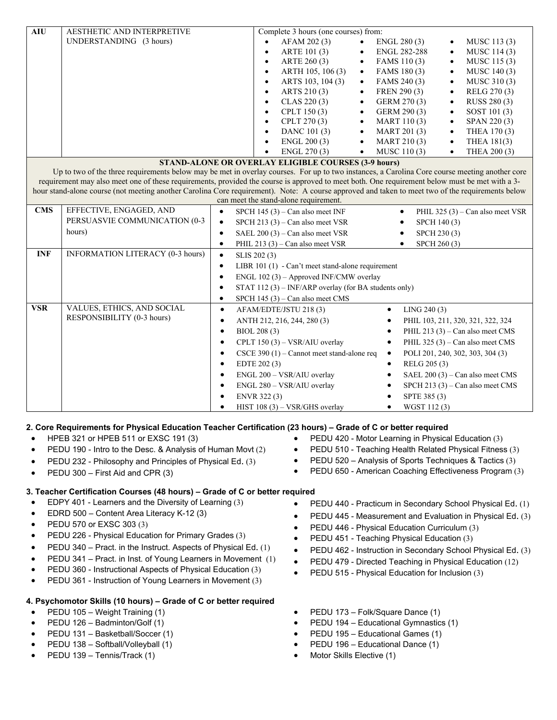| AESTHETIC AND INTERPRETIVE                                                                                                                                           |                                                                                                   |  |  |  |  |  |  |
|----------------------------------------------------------------------------------------------------------------------------------------------------------------------|---------------------------------------------------------------------------------------------------|--|--|--|--|--|--|
| <b>AIU</b><br>Complete 3 hours (one courses) from:<br>UNDERSTANDING (3 hours)<br>AFAM 202 (3)<br>ENGL 280 (3)<br>MUSC 113 (3)<br>$\bullet$<br>$\bullet$<br>$\bullet$ |                                                                                                   |  |  |  |  |  |  |
| ARTE 101 (3)<br><b>ENGL 282-288</b><br>MUSC 114 (3)<br>$\bullet$<br>$\bullet$<br>$\bullet$                                                                           |                                                                                                   |  |  |  |  |  |  |
| ARTE 260 (3)<br>FAMS 110 (3)<br>MUSC 115 (3)<br>$\bullet$<br>$\bullet$<br>$\bullet$                                                                                  |                                                                                                   |  |  |  |  |  |  |
| ARTH 105, 106 (3)<br>FAMS 180 (3)<br>MUSC 140 (3)<br>$\bullet$<br>$\bullet$                                                                                          |                                                                                                   |  |  |  |  |  |  |
| ARTS 103, 104 (3)<br>FAMS 240 (3)<br>MUSC 310(3)<br>$\bullet$<br>$\bullet$                                                                                           |                                                                                                   |  |  |  |  |  |  |
| ARTS 210(3)<br>FREN 290 (3)<br>RELG 270 (3)<br>$\bullet$<br>$\bullet$                                                                                                |                                                                                                   |  |  |  |  |  |  |
| CLAS 220(3)<br>GERM 270 (3)<br>RUSS 280 (3)<br>$\bullet$<br>$\bullet$                                                                                                |                                                                                                   |  |  |  |  |  |  |
| CPLT 150 (3)<br>GERM 290 (3)<br>SOST 101 (3)<br>$\bullet$<br>$\bullet$                                                                                               |                                                                                                   |  |  |  |  |  |  |
| CPLT 270 (3)<br>MART 110(3)<br>SPAN 220(3)<br>$\bullet$<br>$\bullet$                                                                                                 |                                                                                                   |  |  |  |  |  |  |
| DANC 101 (3)<br><b>MART 201 (3)</b><br>THEA 170 (3)<br>$\bullet$<br>$\bullet$<br>$\bullet$                                                                           |                                                                                                   |  |  |  |  |  |  |
| ENGL 200 (3)<br>MART 210 (3)<br>$\bullet$<br>THEA 181(3)<br>$\bullet$                                                                                                |                                                                                                   |  |  |  |  |  |  |
| ENGL 270 (3)<br>MUSC 110(3)<br>THEA 200 (3)<br>$\bullet$<br>$\bullet$                                                                                                |                                                                                                   |  |  |  |  |  |  |
| <b>STAND-ALONE OR OVERLAY ELIGIBLE COURSES (3-9 hours)</b>                                                                                                           |                                                                                                   |  |  |  |  |  |  |
| Up to two of the three requirements below may be met in overlay courses. For up to two instances, a Carolina Core course meeting another core                        |                                                                                                   |  |  |  |  |  |  |
| requirement may also meet one of these requirements, provided the course is approved to meet both. One requirement below must be met with a 3-                       |                                                                                                   |  |  |  |  |  |  |
| hour stand-alone course (not meeting another Carolina Core requirement). Note: A course approved and taken to meet two of the requirements below                     |                                                                                                   |  |  |  |  |  |  |
| can meet the stand-alone requirement.<br><b>CMS</b><br>EFFECTIVE, ENGAGED, AND                                                                                       |                                                                                                   |  |  |  |  |  |  |
|                                                                                                                                                                      | SPCH $145(3)$ – Can also meet INF<br>PHIL 325 $(3)$ – Can also meet VSR<br>$\bullet$<br>$\bullet$ |  |  |  |  |  |  |
| PERSUASVIE COMMUNICATION (0-3                                                                                                                                        | SPCH 213 $(3)$ – Can also meet VSR<br>$\bullet$<br>SPCH 140 (3)<br>٠                              |  |  |  |  |  |  |
| hours)                                                                                                                                                               | SAEL 200 (3) - Can also meet VSR<br>SPCH 230 (3)<br>$\bullet$<br>$\bullet$                        |  |  |  |  |  |  |
| $\bullet$<br>$\bullet$                                                                                                                                               | PHIL 213 $(3)$ – Can also meet VSR<br>SPCH 260 (3)                                                |  |  |  |  |  |  |
| INFORMATION LITERACY (0-3 hours)<br><b>INF</b><br>$\bullet$<br>SLIS 202 (3)                                                                                          |                                                                                                   |  |  |  |  |  |  |
| LIBR 101 (1) - Can't meet stand-alone requirement<br>$\bullet$                                                                                                       |                                                                                                   |  |  |  |  |  |  |
| ENGL $102(3)$ – Approved INF/CMW overlay<br>$\bullet$                                                                                                                |                                                                                                   |  |  |  |  |  |  |
| STAT 112 (3) – INF/ARP overlay (for BA students only)<br>$\bullet$                                                                                                   |                                                                                                   |  |  |  |  |  |  |
| SPCH 145 (3) - Can also meet CMS<br>$\bullet$                                                                                                                        |                                                                                                   |  |  |  |  |  |  |
| <b>VSR</b><br>VALUES, ETHICS, AND SOCIAL<br>AFAM/EDTE/JSTU 218 (3)<br>LING 240(3)<br>$\bullet$<br>$\bullet$                                                          |                                                                                                   |  |  |  |  |  |  |
| RESPONSIBILITY (0-3 hours)<br>ANTH 212, 216, 244, 280 (3)<br>PHIL 103, 211, 320, 321, 322, 324<br>$\bullet$                                                          |                                                                                                   |  |  |  |  |  |  |
| BIOL 208 (3)<br>PHIL 213 $(3)$ – Can also meet CMS<br>$\bullet$<br>$\bullet$                                                                                         |                                                                                                   |  |  |  |  |  |  |
| CPLT 150 (3) - VSR/AIU overlay<br>PHIL 325 (3) – Can also meet CMS<br>$\bullet$<br>$\bullet$                                                                         |                                                                                                   |  |  |  |  |  |  |
| CSCE 390 (1) – Cannot meet stand-alone req<br>POLI 201, 240, 302, 303, 304 (3)<br>$\bullet$<br>$\bullet$                                                             |                                                                                                   |  |  |  |  |  |  |
| EDTE 202 (3)<br>RELG 205 (3)<br>$\bullet$<br>$\bullet$                                                                                                               |                                                                                                   |  |  |  |  |  |  |
| SAEL 200 (3) – Can also meet CMS<br>ENGL 200 - VSR/AIU overlay<br>$\bullet$<br>$\bullet$                                                                             |                                                                                                   |  |  |  |  |  |  |
| ENGL 280 - VSR/AIU overlay<br>SPCH 213 $(3)$ – Can also meet CMS<br>$\bullet$                                                                                        |                                                                                                   |  |  |  |  |  |  |
| SPTE 385 (3)<br>ENVR 322 (3)<br>$\bullet$                                                                                                                            |                                                                                                   |  |  |  |  |  |  |
| WGST 112(3)<br>HIST $108(3) - VSR/GHS$ overlay                                                                                                                       |                                                                                                   |  |  |  |  |  |  |

## **2. Core Requirements for Physical Education Teacher Certification (23 hours) – Grade of C or better required**

- HPEB 321 or HPEB 511 or EXSC 191 (3) PEDU 420 Motor Learning in Physical Education (3)
- PEDU 190 Intro to the Desc. & Analysis of Human Movt (2) **•** PEDU 510 Teaching Health Related Physical Fitness (3)
- PEDU 232 Philosophy and Principles of Physical Ed. (3) PEDU 520 Analysis of Sports Techniques & Tactics (3)
- PEDU 300 First Aid and CPR (3) **COVID-10 PEDU 650 American Coaching Effectiveness Program (3)**

## **3. Teacher Certification Courses (48 hours) – Grade of C or better required**

- EDPY 401 Learners and the Diversity of Learning (3)
- EDRD 500 Content Area Literacy K-12 (3)
- PEDU 570 or EXSC 303 (3)
- PEDU 226 Physical Education for Primary Grades (3)
- PEDU 340 Pract. in the Instruct. Aspects of Physical Ed. (1)
- PEDU 341 Pract. in Inst. of Young Learners in Movement (1)
- PEDU 360 Instructional Aspects of Physical Education (3)
- PEDU 361 Instruction of Young Learners in Movement (3)

# **4. Psychomotor Skills (10 hours) – Grade of C or better required**

- PEDU 105 Weight Training (1)
- PEDU 126 Badminton/Golf (1)
- PEDU 131 Basketball/Soccer (1)
- PEDU 138 Softball/Volleyball (1)
- PEDU 139 Tennis/Track (1)
- 
- PEDU 440 Practicum in Secondary School Physical Ed. (1)
- PEDU 445 Measurement and Evaluation in Physical Ed. (3)
- PEDU 446 Physical Education Curriculum (3)
- PEDU 451 Teaching Physical Education (3)
- PEDU 462 Instruction in Secondary School Physical Ed. (3)
- PEDU 479 Directed Teaching in Physical Education (12)
- PEDU 515 Physical Education for Inclusion (3)
- PEDU 173 Folk/Square Dance (1)
- PEDU 194 Educational Gymnastics (1)
- PEDU 195 Educational Games (1)
- PEDU 196 Educational Dance (1)
- Motor Skills Elective (1)